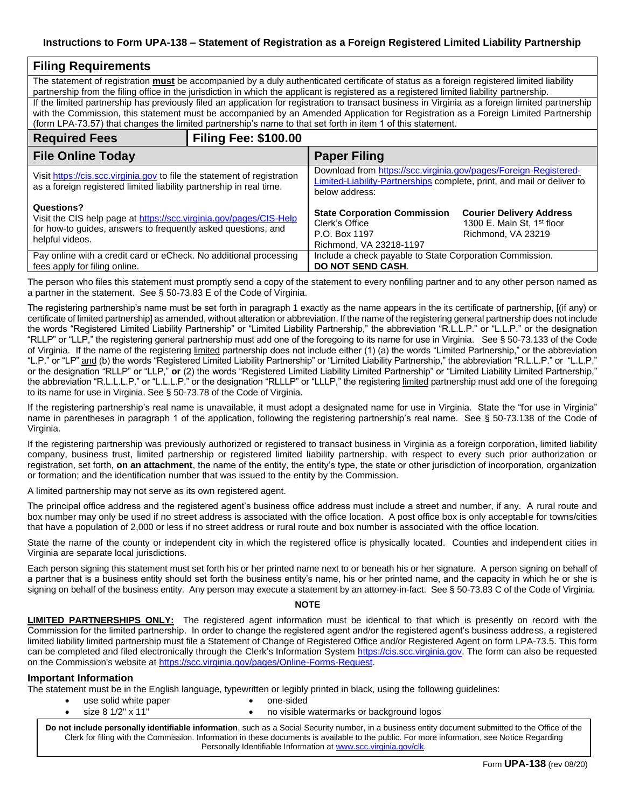## **Instructions to Form UPA-138 – Statement of Registration as a Foreign Registered Limited Liability Partnership**

| <b>Filing Requirements</b>                                                                                                                                                                                                                                                                                                                                                                              |                             |                                                                                                                                                              |                                                                                                 |  |
|---------------------------------------------------------------------------------------------------------------------------------------------------------------------------------------------------------------------------------------------------------------------------------------------------------------------------------------------------------------------------------------------------------|-----------------------------|--------------------------------------------------------------------------------------------------------------------------------------------------------------|-------------------------------------------------------------------------------------------------|--|
| The statement of registration must be accompanied by a duly authenticated certificate of status as a foreign registered limited liability<br>partnership from the filing office in the jurisdiction in which the applicant is registered as a registered limited liability partnership.                                                                                                                 |                             |                                                                                                                                                              |                                                                                                 |  |
| If the limited partnership has previously filed an application for registration to transact business in Virginia as a foreign limited partnership<br>with the Commission, this statement must be accompanied by an Amended Application for Registration as a Foreign Limited Partnership<br>(form LPA-73.57) that changes the limited partnership's name to that set forth in item 1 of this statement. |                             |                                                                                                                                                              |                                                                                                 |  |
| <b>Required Fees</b>                                                                                                                                                                                                                                                                                                                                                                                    | <b>Filing Fee: \$100.00</b> |                                                                                                                                                              |                                                                                                 |  |
| <b>File Online Today</b>                                                                                                                                                                                                                                                                                                                                                                                |                             | <b>Paper Filing</b>                                                                                                                                          |                                                                                                 |  |
| Visit https://cis.scc.virginia.gov to file the statement of registration<br>as a foreign registered limited liability partnership in real time.                                                                                                                                                                                                                                                         |                             | Download from https://scc.virginia.gov/pages/Foreign-Registered-<br>Limited-Liability-Partnerships complete, print, and mail or deliver to<br>below address: |                                                                                                 |  |
| Questions?<br>Visit the CIS help page at https://scc.virginia.gov/pages/CIS-Help<br>for how-to guides, answers to frequently asked questions, and<br>helpful videos.                                                                                                                                                                                                                                    |                             | <b>State Corporation Commission</b><br>Clerk's Office<br>P.O. Box 1197<br>Richmond, VA 23218-1197                                                            | <b>Courier Delivery Address</b><br>1300 E. Main St, 1 <sup>st</sup> floor<br>Richmond, VA 23219 |  |
| Pay online with a credit card or eCheck. No additional processing<br>fees apply for filing online.                                                                                                                                                                                                                                                                                                      |                             | Include a check payable to State Corporation Commission.<br><b>DO NOT SEND CASH.</b>                                                                         |                                                                                                 |  |

The person who files this statement must promptly send a copy of the statement to every nonfiling partner and to any other person named as a partner in the statement. See § 50-73.83 E of the Code of Virginia.

The registering partnership's name must be set forth in paragraph 1 exactly as the name appears in the its certificate of partnership, [(if any) or certificate of limited partnership] as amended, without alteration or abbreviation. If the name of the registering general partnership does not include the words "Registered Limited Liability Partnership" or "Limited Liability Partnership," the abbreviation "R.L.L.P." or "L.L.P." or the designation "RLLP" or "LLP," the registering general partnership must add one of the foregoing to its name for use in Virginia. See § 50-73.133 of the Code of Virginia. If the name of the registering limited partnership does not include either (1) (a) the words "Limited Partnership," or the abbreviation "L.P." or "LP" and (b) the words "Registered Limited Liability Partnership" or "Limited Liability Partnership," the abbreviation "R.L.L.P." or "L.L.P." or the designation "RLLP" or "LLP," **or** (2) the words "Registered Limited Liability Limited Partnership" or "Limited Liability Limited Partnership," the abbreviation "R.L.L.L.P." or "L.L.L.P." or the designation "RLLLP" or "LLLP," the registering <u>limited</u> partnership must add one of the foregoing to its name for use in Virginia. See § 50-73.78 of the Code of Virginia.

If the registering partnership's real name is unavailable, it must adopt a designated name for use in Virginia. State the "for use in Virginia" name in parentheses in paragraph 1 of the application, following the registering partnership's real name. See § 50-73.138 of the Code of Virginia.

If the registering partnership was previously authorized or registered to transact business in Virginia as a foreign corporation, limited liability company, business trust, limited partnership or registered limited liability partnership, with respect to every such prior authorization or registration, set forth, **on an attachment**, the name of the entity, the entity's type, the state or other jurisdiction of incorporation, organization or formation; and the identification number that was issued to the entity by the Commission.

A limited partnership may not serve as its own registered agent.

The principal office address and the registered agent's business office address must include a street and number, if any. A rural route and box number may only be used if no street address is associated with the office location. A post office box is only acceptable for towns/cities that have a population of 2,000 or less if no street address or rural route and box number is associated with the office location.

State the name of the county or independent city in which the registered office is physically located. Counties and independent cities in Virginia are separate local jurisdictions.

Each person signing this statement must set forth his or her printed name next to or beneath his or her signature. A person signing on behalf of a partner that is a business entity should set forth the business entity's name, his or her printed name, and the capacity in which he or she is signing on behalf of the business entity. Any person may execute a statement by an attorney-in-fact. See § 50-73.83 C of the Code of Virginia.

## **NOTE**

**LIMITED PARTNERSHIPS ONLY:** The registered agent information must be identical to that which is presently on record with the Commission for the limited partnership. In order to change the registered agent and/or the registered agent's business address, a registered limited liability limited partnership must file a Statement of Change of Registered Office and/or Registered Agent on form LPA-73.5. This form can be completed and filed electronically through the Clerk's Information System [https://cis.scc.virginia.gov.](https://cis.scc.virginia.gov/) The form can also be requested on the Commission's website at [https://scc.virginia.gov/pages/Online-Forms-Request.](https://scc.virginia.gov/pages/Online-Forms-Request)

#### **Important Information**

The statement must be in the English language, typewritten or legibly printed in black, using the following guidelines: use solid white paper

- one-sided
- size 8 1/2" x 11"
	- no visible watermarks or background logos

**Do not include personally identifiable information**, such as a Social Security number, in a business entity document submitted to the Office of the Clerk for filing with the Commission. Information in these documents is available to the public. For more information, see Notice Regarding Personally Identifiable Information at [www.scc.virginia.gov/clk.](http://www.scc.virginia.gov/clk)